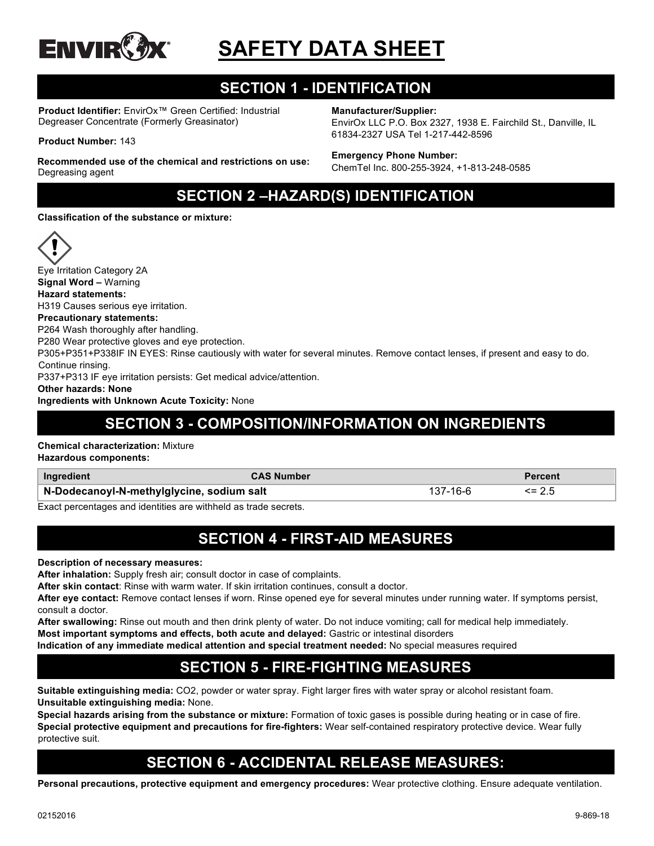

# **SAFETY DATA SHEET**

# **SECTION 1 - IDENTIFICATION**

**Product Identifier:** EnvirOx™ Green Certified: Industrial Degreaser Concentrate (Formerly Greasinator)

#### **Product Number:** 143

**Recommended use of the chemical and restrictions on use:**  Degreasing agent

**Manufacturer/Supplier:**

EnvirOx LLC P.O. Box 2327, 1938 E. Fairchild St., Danville, IL 61834-2327 USA Tel 1-217-442-8596

#### **Emergency Phone Number:**

ChemTel Inc. 800-255-3924, +1-813-248-0585

# **SECTION 2 –HAZARD(S) IDENTIFICATION**

**Classification of the substance or mixture:**



Eye Irritation Category 2A **Signal Word –** Warning **Hazard statements:** H319 Causes serious eye irritation. **Precautionary statements:** P264 Wash thoroughly after handling. P280 Wear protective gloves and eye protection. P305+P351+P338IF IN EYES: Rinse cautiously with water for several minutes. Remove contact lenses, if present and easy to do. Continue rinsing. P337+P313 IF eye irritation persists: Get medical advice/attention. **Other hazards: None**

#### **Ingredients with Unknown Acute Toxicity:** None

### **SECTION 3 - COMPOSITION/INFORMATION ON INGREDIENTS**

#### **Chemical characterization:** Mixture

**Hazardous components:**

| Ingredient                                | <b>CAS Number</b> |  |
|-------------------------------------------|-------------------|--|
| N-Dodecanoyl-N-methylglycine, sodium salt |                   |  |

Exact percentages and identities are withheld as trade secrets.

#### **SECTION 4 - FIRST-AID MEASURES**

**Description of necessary measures:**

**After inhalation:** Supply fresh air; consult doctor in case of complaints.

**After skin contact**: Rinse with warm water. If skin irritation continues, consult a doctor.

**After eye contact:** Remove contact lenses if worn. Rinse opened eye for several minutes under running water. If symptoms persist, consult a doctor.

**After swallowing:** Rinse out mouth and then drink plenty of water. Do not induce vomiting; call for medical help immediately. **Most important symptoms and effects, both acute and delayed:** Gastric or intestinal disorders

**Indication of any immediate medical attention and special treatment needed:** No special measures required

# **SECTION 5 - FIRE-FIGHTING MEASURES**

**Suitable extinguishing media:** CO2, powder or water spray. Fight larger fires with water spray or alcohol resistant foam. **Unsuitable extinguishing media:** None.

**Special hazards arising from the substance or mixture:** Formation of toxic gases is possible during heating or in case of fire. **Special protective equipment and precautions for fire-fighters:** Wear self-contained respiratory protective device. Wear fully protective suit.

# **SECTION 6 - ACCIDENTAL RELEASE MEASURES:**

**Personal precautions, protective equipment and emergency procedures:** Wear protective clothing. Ensure adequate ventilation.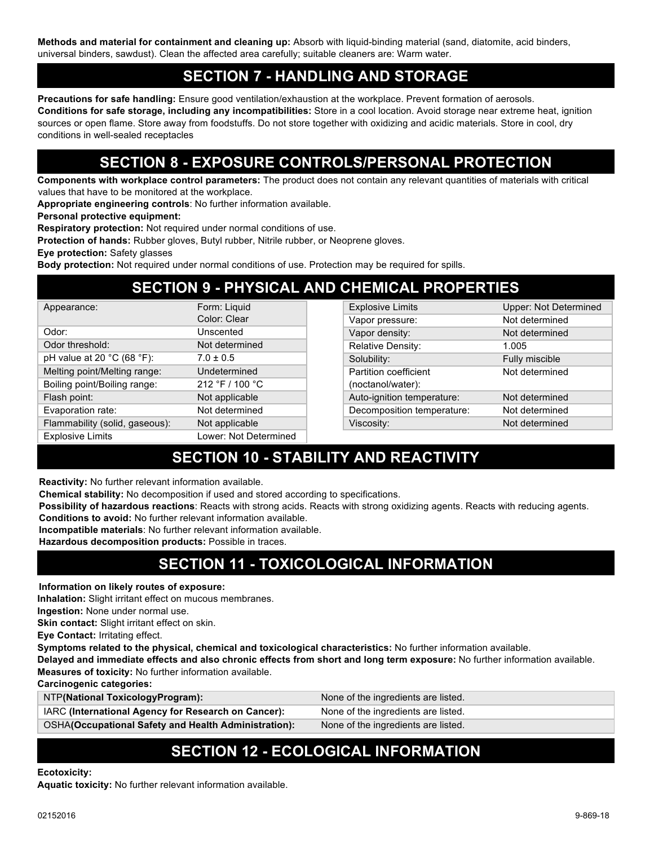**Methods and material for containment and cleaning up:** Absorb with liquid-binding material (sand, diatomite, acid binders, universal binders, sawdust). Clean the affected area carefully; suitable cleaners are: Warm water.

#### **SECTION 7 - HANDLING AND STORAGE**

**Precautions for safe handling:** Ensure good ventilation/exhaustion at the workplace. Prevent formation of aerosols. **Conditions for safe storage, including any incompatibilities:** Store in a cool location. Avoid storage near extreme heat, ignition sources or open flame. Store away from foodstuffs. Do not store together with oxidizing and acidic materials. Store in cool, dry conditions in well-sealed receptacles

# **SECTION 8 - EXPOSURE CONTROLS/PERSONAL PROTECTION**

**Components with workplace control parameters:** The product does not contain any relevant quantities of materials with critical values that have to be monitored at the workplace.

**Appropriate engineering controls**: No further information available.

**Personal protective equipment:**

**Respiratory protection:** Not required under normal conditions of use.

**Protection of hands:** Rubber gloves, Butyl rubber, Nitrile rubber, or Neoprene gloves.

**Eye protection:** Safety glasses

**Body protection:** Not required under normal conditions of use. Protection may be required for spills.

#### **SECTION 9 - PHYSICAL AND CHEMICAL PROPERTIES**

| Appearance:                                    | Form: Liquid          |
|------------------------------------------------|-----------------------|
|                                                | Color: Clear          |
| Odor:                                          | Unscented             |
| Odor threshold:                                | Not determined        |
| pH value at 20 $^{\circ}$ C (68 $^{\circ}$ F): | $7.0 \pm 0.5$         |
| Melting point/Melting range:                   | Undetermined          |
| Boiling point/Boiling range:                   | 212 °F / 100 °C       |
| Flash point:                                   | Not applicable        |
| Evaporation rate:                              | Not determined        |
| Flammability (solid, gaseous):                 | Not applicable        |
| <b>Explosive Limits</b>                        | Lower: Not Determined |

| <b>Explosive Limits</b>    | <b>Upper: Not Determined</b> |
|----------------------------|------------------------------|
| Vapor pressure:            | Not determined               |
| Vapor density:             | Not determined               |
| Relative Density:          | 1.005                        |
| Solubility:                | Fully miscible               |
| Partition coefficient      | Not determined               |
| (noctanol/water):          |                              |
| Auto-ignition temperature: | Not determined               |
| Decomposition temperature: | Not determined               |
| Viscosity:                 | Not determined               |
|                            |                              |

# **SECTION 10 - STABILITY AND REACTIVITY**

**Reactivity:** No further relevant information available.

**Chemical stability:** No decomposition if used and stored according to specifications.

**Possibility of hazardous reactions**: Reacts with strong acids. Reacts with strong oxidizing agents. Reacts with reducing agents.

**Conditions to avoid:** No further relevant information available.

**Incompatible materials**: No further relevant information available.

**Hazardous decomposition products:** Possible in traces.

### **SECTION 11 - TOXICOLOGICAL INFORMATION**

**Information on likely routes of exposure:**

**Inhalation:** Slight irritant effect on mucous membranes.

**Ingestion:** None under normal use.

**Skin contact:** Slight irritant effect on skin.

**Eye Contact:** Irritating effect.

**Symptoms related to the physical, chemical and toxicological characteristics:** No further information available.

**Delayed and immediate effects and also chronic effects from short and long term exposure:** No further information available. **Measures of toxicity:** No further information available.

**Carcinogenic categories:**

| NTP(National ToxicologyProgram):                            | None of the ingredients are listed. |
|-------------------------------------------------------------|-------------------------------------|
| IARC (International Agency for Research on Cancer):         | None of the ingredients are listed. |
| <b>OSHA(Occupational Safety and Health Administration):</b> | None of the ingredients are listed. |

### **SECTION 12 - ECOLOGICAL INFORMATION**

#### **Ecotoxicity:**

**Aquatic toxicity:** No further relevant information available.